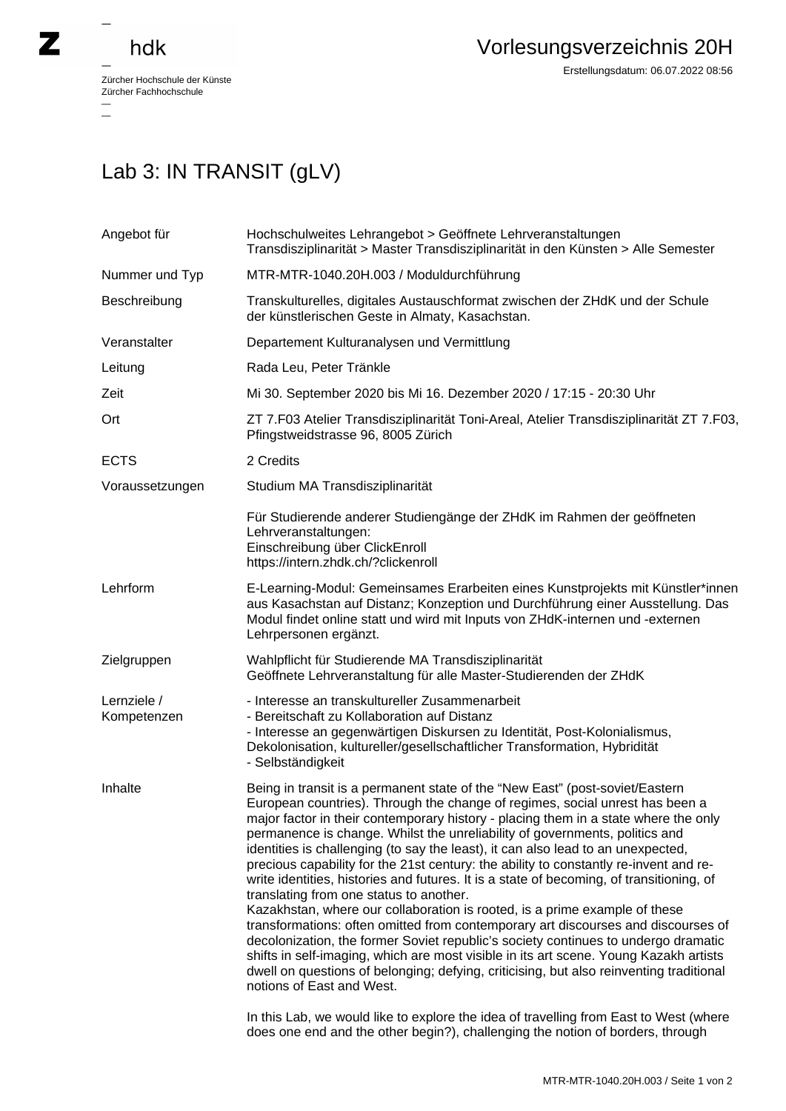## hdk

 $\overline{a}$ 

Zürcher Hochschule der Künste Zürcher Fachhochschule —

Erstellungsdatum: 06.07.2022 08:56

## Lab 3: IN TRANSIT (gLV)

| MTR-MTR-1040.20H.003 / Moduldurchführung<br>Transkulturelles, digitales Austauschformat zwischen der ZHdK und der Schule                                                                                                                                                                                                                                                                                                                                                                                                                                                                                                                                                                                                                                                                                                                                                                                                                                                                                                                                                                                                                                                                                                                                                                                    |
|-------------------------------------------------------------------------------------------------------------------------------------------------------------------------------------------------------------------------------------------------------------------------------------------------------------------------------------------------------------------------------------------------------------------------------------------------------------------------------------------------------------------------------------------------------------------------------------------------------------------------------------------------------------------------------------------------------------------------------------------------------------------------------------------------------------------------------------------------------------------------------------------------------------------------------------------------------------------------------------------------------------------------------------------------------------------------------------------------------------------------------------------------------------------------------------------------------------------------------------------------------------------------------------------------------------|
|                                                                                                                                                                                                                                                                                                                                                                                                                                                                                                                                                                                                                                                                                                                                                                                                                                                                                                                                                                                                                                                                                                                                                                                                                                                                                                             |
| der künstlerischen Geste in Almaty, Kasachstan.                                                                                                                                                                                                                                                                                                                                                                                                                                                                                                                                                                                                                                                                                                                                                                                                                                                                                                                                                                                                                                                                                                                                                                                                                                                             |
| Departement Kulturanalysen und Vermittlung                                                                                                                                                                                                                                                                                                                                                                                                                                                                                                                                                                                                                                                                                                                                                                                                                                                                                                                                                                                                                                                                                                                                                                                                                                                                  |
| Rada Leu, Peter Tränkle                                                                                                                                                                                                                                                                                                                                                                                                                                                                                                                                                                                                                                                                                                                                                                                                                                                                                                                                                                                                                                                                                                                                                                                                                                                                                     |
| Mi 30. September 2020 bis Mi 16. Dezember 2020 / 17:15 - 20:30 Uhr                                                                                                                                                                                                                                                                                                                                                                                                                                                                                                                                                                                                                                                                                                                                                                                                                                                                                                                                                                                                                                                                                                                                                                                                                                          |
| ZT 7.F03 Atelier Transdisziplinarität Toni-Areal, Atelier Transdisziplinarität ZT 7.F03,<br>Pfingstweidstrasse 96, 8005 Zürich                                                                                                                                                                                                                                                                                                                                                                                                                                                                                                                                                                                                                                                                                                                                                                                                                                                                                                                                                                                                                                                                                                                                                                              |
| 2 Credits                                                                                                                                                                                                                                                                                                                                                                                                                                                                                                                                                                                                                                                                                                                                                                                                                                                                                                                                                                                                                                                                                                                                                                                                                                                                                                   |
| Studium MA Transdisziplinarität                                                                                                                                                                                                                                                                                                                                                                                                                                                                                                                                                                                                                                                                                                                                                                                                                                                                                                                                                                                                                                                                                                                                                                                                                                                                             |
| Für Studierende anderer Studiengänge der ZHdK im Rahmen der geöffneten<br>Lehrveranstaltungen:<br>Einschreibung über ClickEnroll<br>https://intern.zhdk.ch/?clickenroll                                                                                                                                                                                                                                                                                                                                                                                                                                                                                                                                                                                                                                                                                                                                                                                                                                                                                                                                                                                                                                                                                                                                     |
| E-Learning-Modul: Gemeinsames Erarbeiten eines Kunstprojekts mit Künstler*innen<br>aus Kasachstan auf Distanz; Konzeption und Durchführung einer Ausstellung. Das<br>Modul findet online statt und wird mit Inputs von ZHdK-internen und -externen<br>Lehrpersonen ergänzt.                                                                                                                                                                                                                                                                                                                                                                                                                                                                                                                                                                                                                                                                                                                                                                                                                                                                                                                                                                                                                                 |
| Wahlpflicht für Studierende MA Transdisziplinarität<br>Geöffnete Lehrveranstaltung für alle Master-Studierenden der ZHdK                                                                                                                                                                                                                                                                                                                                                                                                                                                                                                                                                                                                                                                                                                                                                                                                                                                                                                                                                                                                                                                                                                                                                                                    |
| - Interesse an transkultureller Zusammenarbeit<br>- Bereitschaft zu Kollaboration auf Distanz<br>- Interesse an gegenwärtigen Diskursen zu Identität, Post-Kolonialismus,<br>Dekolonisation, kultureller/gesellschaftlicher Transformation, Hybridität<br>- Selbständigkeit                                                                                                                                                                                                                                                                                                                                                                                                                                                                                                                                                                                                                                                                                                                                                                                                                                                                                                                                                                                                                                 |
| Being in transit is a permanent state of the "New East" (post-soviet/Eastern<br>European countries). Through the change of regimes, social unrest has been a<br>major factor in their contemporary history - placing them in a state where the only<br>permanence is change. Whilst the unreliability of governments, politics and<br>identities is challenging (to say the least), it can also lead to an unexpected,<br>precious capability for the 21st century: the ability to constantly re-invent and re-<br>write identities, histories and futures. It is a state of becoming, of transitioning, of<br>translating from one status to another.<br>Kazakhstan, where our collaboration is rooted, is a prime example of these<br>transformations: often omitted from contemporary art discourses and discourses of<br>decolonization, the former Soviet republic's society continues to undergo dramatic<br>shifts in self-imaging, which are most visible in its art scene. Young Kazakh artists<br>dwell on questions of belonging; defying, criticising, but also reinventing traditional<br>notions of East and West.<br>In this Lab, we would like to explore the idea of travelling from East to West (where<br>does one end and the other begin?), challenging the notion of borders, through |
|                                                                                                                                                                                                                                                                                                                                                                                                                                                                                                                                                                                                                                                                                                                                                                                                                                                                                                                                                                                                                                                                                                                                                                                                                                                                                                             |